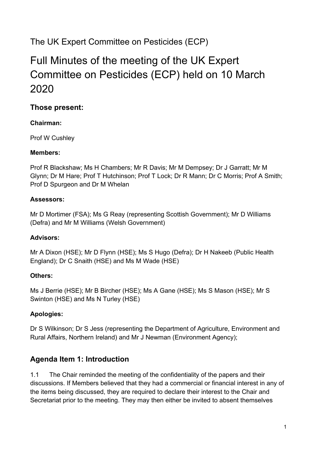## The UK Expert Committee on Pesticides (ECP)

# Full Minutes of the meeting of the UK Expert Committee on Pesticides (ECP) held on 10 March 2020

## **Those present:**

#### **Chairman:**

Prof W Cushley

#### **Members:**

Prof R Blackshaw; Ms H Chambers; Mr R Davis; Mr M Dempsey; Dr J Garratt; Mr M Glynn; Dr M Hare; Prof T Hutchinson; Prof T Lock; Dr R Mann; Dr C Morris; Prof A Smith; Prof D Spurgeon and Dr M Whelan

#### **Assessors:**

Mr D Mortimer (FSA); Ms G Reay (representing Scottish Government); Mr D Williams (Defra) and Mr M Williams (Welsh Government)

#### **Advisors:**

Mr A Dixon (HSE); Mr D Flynn (HSE); Ms S Hugo (Defra); Dr H Nakeeb (Public Health England); Dr C Snaith (HSE) and Ms M Wade (HSE)

#### **Others:**

Ms J Berrie (HSE); Mr B Bircher (HSE); Ms A Gane (HSE); Ms S Mason (HSE); Mr S Swinton (HSE) and Ms N Turley (HSE)

#### **Apologies:**

Dr S Wilkinson; Dr S Jess (representing the Department of Agriculture, Environment and Rural Affairs, Northern Ireland) and Mr J Newman (Environment Agency);

## **Agenda Item 1: Introduction**

1.1 The Chair reminded the meeting of the confidentiality of the papers and their discussions. If Members believed that they had a commercial or financial interest in any of the items being discussed, they are required to declare their interest to the Chair and Secretariat prior to the meeting. They may then either be invited to absent themselves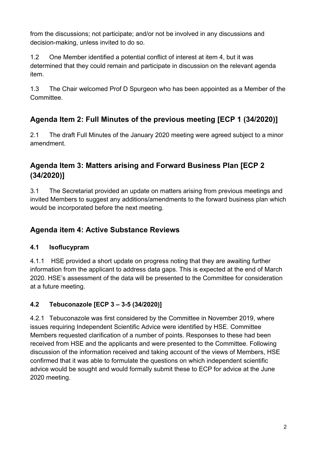from the discussions; not participate; and/or not be involved in any discussions and decision-making, unless invited to do so.

1.2 One Member identified a potential conflict of interest at item 4, but it was determined that they could remain and participate in discussion on the relevant agenda item.

1.3 The Chair welcomed Prof D Spurgeon who has been appointed as a Member of the Committee.

## **Agenda Item 2: Full Minutes of the previous meeting [ECP 1 (34/2020)]**

2.1 The draft Full Minutes of the January 2020 meeting were agreed subject to a minor amendment.

## **Agenda Item 3: Matters arising and Forward Business Plan [ECP 2 (34/2020)]**

3.1 The Secretariat provided an update on matters arising from previous meetings and invited Members to suggest any additions/amendments to the forward business plan which would be incorporated before the next meeting.

## **Agenda item 4: Active Substance Reviews**

#### **4.1 Isoflucypram**

4.1.1 HSE provided a short update on progress noting that they are awaiting further information from the applicant to address data gaps. This is expected at the end of March 2020. HSE's assessment of the data will be presented to the Committee for consideration at a future meeting.

## **4.2 Tebuconazole [ECP 3 – 3-5 (34/2020)]**

4.2.1 Tebuconazole was first considered by the Committee in November 2019, where issues requiring Independent Scientific Advice were identified by HSE. Committee Members requested clarification of a number of points. Responses to these had been received from HSE and the applicants and were presented to the Committee. Following discussion of the information received and taking account of the views of Members, HSE confirmed that it was able to formulate the questions on which independent scientific advice would be sought and would formally submit these to ECP for advice at the June 2020 meeting.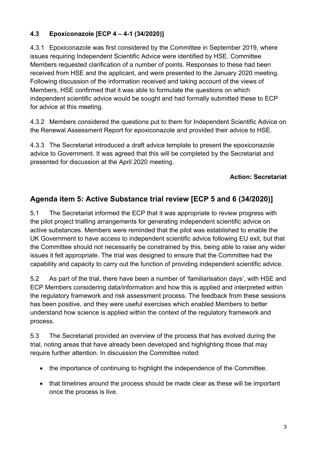#### **4.3 Epoxiconazole [ECP 4 – 4-1 (34/2020)]**

4.3.1 Epoxiconazole was first considered by the Committee in September 2019, where issues requiring Independent Scientific Advice were identified by HSE. Committee Members requested clarification of a number of points. Responses to these had been received from HSE and the applicant, and were presented to the January 2020 meeting. Following discussion of the information received and taking account of the views of Members, HSE confirmed that it was able to formulate the questions on which independent scientific advice would be sought and had formally submitted these to ECP for advice at this meeting.

4.3.2 Members considered the questions put to them for Independent Scientific Advice on the Renewal Assessment Report for epoxiconazole and provided their advice to HSE.

4.3.3 The Secretariat introduced a draft advice template to present the epoxiconazole advice to Government. It was agreed that this will be completed by the Secretariat and presented for discussion at the April 2020 meeting.

#### **Action: Secretariat**

## **Agenda item 5: Active Substance trial review [ECP 5 and 6 (34/2020)]**

5.1 The Secretariat informed the ECP that it was appropriate to review progress with the pilot project trialling arrangements for generating independent scientific advice on active substances. Members were reminded that the pilot was established to enable the UK Government to have access to independent scientific advice following EU exit, but that the Committee should not necessarily be constrained by this, being able to raise any wider issues it felt appropriate. The trial was designed to ensure that the Committee had the capability and capacity to carry out the function of providing independent scientific advice.

5.2 As part of the trial, there have been a number of 'familiarisation days', with HSE and ECP Members considering data/information and how this is applied and interpreted within the regulatory framework and risk assessment process. The feedback from these sessions has been positive, and they were useful exercises which enabled Members to better understand how science is applied within the context of the regulatory framework and process.

5.3 The Secretariat provided an overview of the process that has evolved during the trial, noting areas that have already been developed and highlighting those that may require further attention. In discussion the Committee noted:

- the importance of continuing to highlight the independence of the Committee.
- that timelines around the process should be made clear as these will be important once the process is live.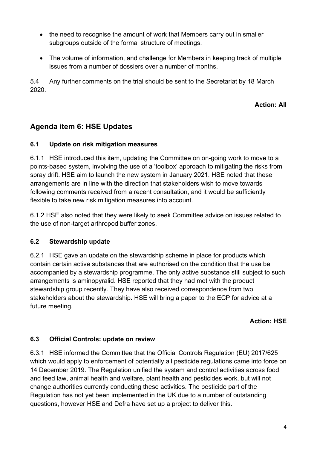- the need to recognise the amount of work that Members carry out in smaller subgroups outside of the formal structure of meetings.
- The volume of information, and challenge for Members in keeping track of multiple issues from a number of dossiers over a number of months.

5.4 Any further comments on the trial should be sent to the Secretariat by 18 March 2020.

**Action: All**

## **Agenda item 6: HSE Updates**

#### **6.1 Update on risk mitigation measures**

6.1.1 HSE introduced this item, updating the Committee on on-going work to move to a points-based system, involving the use of a 'toolbox' approach to mitigating the risks from spray drift. HSE aim to launch the new system in January 2021. HSE noted that these arrangements are in line with the direction that stakeholders wish to move towards following comments received from a recent consultation, and it would be sufficiently flexible to take new risk mitigation measures into account.

6.1.2 HSE also noted that they were likely to seek Committee advice on issues related to the use of non-target arthropod buffer zones.

#### **6.2 Stewardship update**

6.2.1 HSE gave an update on the stewardship scheme in place for products which contain certain active substances that are authorised on the condition that the use be accompanied by a stewardship programme. The only active substance still subject to such arrangements is aminopyralid. HSE reported that they had met with the product stewardship group recently. They have also received correspondence from two stakeholders about the stewardship. HSE will bring a paper to the ECP for advice at a future meeting.

#### **Action: HSE**

#### **6.3 Official Controls: update on review**

6.3.1 HSE informed the Committee that the Official Controls Regulation (EU) 2017/625 which would apply to enforcement of potentially all pesticide regulations came into force on 14 December 2019. The Regulation unified the system and control activities across food and feed law, animal health and welfare, plant health and pesticides work, but will not change authorities currently conducting these activities. The pesticide part of the Regulation has not yet been implemented in the UK due to a number of outstanding questions, however HSE and Defra have set up a project to deliver this.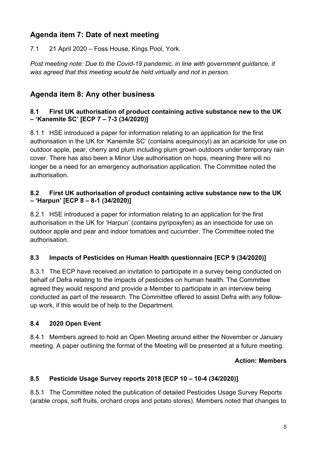## **Agenda item 7: Date of next meeting**

7.1 21 April 2020 – Foss House, Kings Pool, York.

*Post meeting note: Due to the Covid-19 pandemic, in line with government guidance, it was agreed that this meeting would be held virtually and not in person.*

## **Agenda item 8: Any other business**

#### **8.1 First UK authorisation of product containing active substance new to the UK – 'Kanemite SC' [ECP 7 – 7-3 (34/2020)]**

8.1.1 HSE introduced a paper for information relating to an application for the first authorisation in the UK for 'Kanemite SC' (contains acequinocyl) as an acaricide for use on outdoor apple, pear, cherry and plum including plum grown outdoors under temporary rain cover. There has also been a Minor Use authorisation on hops, meaning there will no longer be a need for an emergency authorisation application. The Committee noted the authorisation.

#### **8.2 First UK authorisation of product containing active substance new to the UK – 'Harpun' [ECP 8 – 8-1 (34/2020)]**

8.2.1 HSE introduced a paper for information relating to an application for the first authorisation in the UK for 'Harpun' (contains pyripoxyfen) as an insecticide for use on outdoor apple and pear and indoor tomatoes and cucumber. The Committee noted the authorisation.

#### **8.3 Impacts of Pesticides on Human Health questionnaire [ECP 9 (34/2020)]**

8.3.1 The ECP have received an invitation to participate in a survey being conducted on behalf of Defra relating to the impacts of pesticides on human health. The Committee agreed they would respond and provide a Member to participate in an interview being conducted as part of the research. The Committee offered to assist Defra with any followup work, if this would be of help to the Department.

#### **8.4 2020 Open Event**

8.4.1 Members agreed to hold an Open Meeting around either the November or January meeting. A paper outlining the format of the Meeting will be presented at a future meeting.

#### **Action: Members**

#### **8.5 Pesticide Usage Survey reports 2018 [ECP 10 – 10-4 (34/2020)]**

8.5.1 The Committee noted the publication of detailed Pesticides Usage Survey Reports (arable crops, soft fruits, orchard crops and potato stores). Members noted that changes to